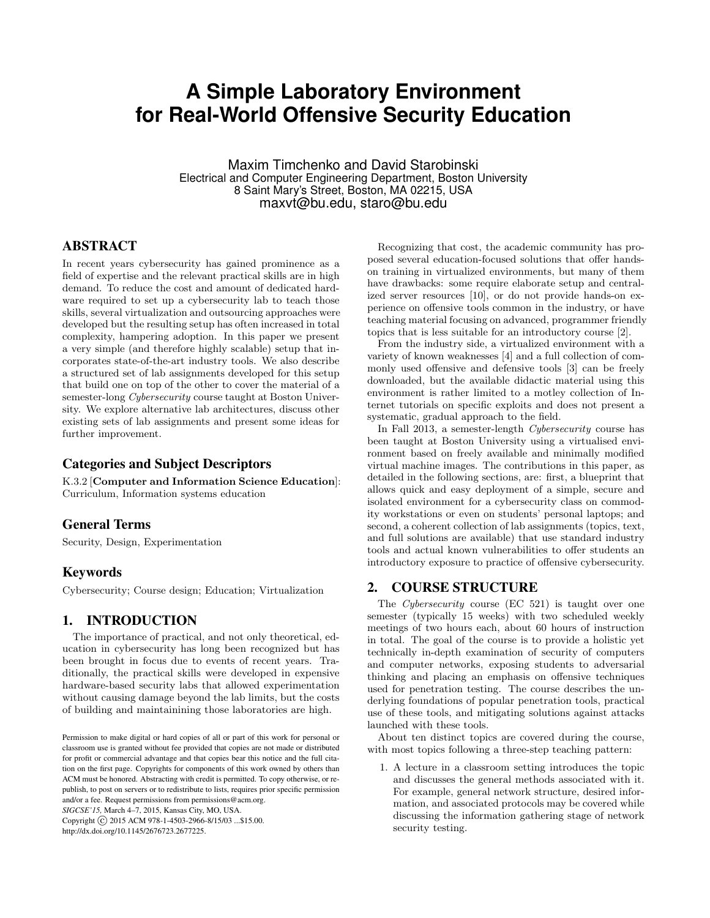# **A Simple Laboratory Environment for Real-World Offensive Security Education**

Maxim Timchenko and David Starobinski Electrical and Computer Engineering Department, Boston University 8 Saint Mary's Street, Boston, MA 02215, USA maxvt@bu.edu, staro@bu.edu

# ABSTRACT

In recent years cybersecurity has gained prominence as a field of expertise and the relevant practical skills are in high demand. To reduce the cost and amount of dedicated hardware required to set up a cybersecurity lab to teach those skills, several virtualization and outsourcing approaches were developed but the resulting setup has often increased in total complexity, hampering adoption. In this paper we present a very simple (and therefore highly scalable) setup that incorporates state-of-the-art industry tools. We also describe a structured set of lab assignments developed for this setup that build one on top of the other to cover the material of a semester-long Cybersecurity course taught at Boston University. We explore alternative lab architectures, discuss other existing sets of lab assignments and present some ideas for further improvement.

# Categories and Subject Descriptors

K.3.2 [Computer and Information Science Education]: Curriculum, Information systems education

# General Terms

Security, Design, Experimentation

## Keywords

Cybersecurity; Course design; Education; Virtualization

### 1. INTRODUCTION

The importance of practical, and not only theoretical, education in cybersecurity has long been recognized but has been brought in focus due to events of recent years. Traditionally, the practical skills were developed in expensive hardware-based security labs that allowed experimentation without causing damage beyond the lab limits, but the costs of building and maintainining those laboratories are high.

*SIGCSE'15,* March 4–7, 2015, Kansas City, MO, USA. Copyright (C) 2015 ACM 978-1-4503-2966-8/15/03 ... \$15.00. http://dx.doi.org/10.1145/2676723.2677225.

Recognizing that cost, the academic community has proposed several education-focused solutions that offer handson training in virtualized environments, but many of them have drawbacks: some require elaborate setup and centralized server resources [10], or do not provide hands-on experience on offensive tools common in the industry, or have teaching material focusing on advanced, programmer friendly topics that is less suitable for an introductory course [2].

From the industry side, a virtualized environment with a variety of known weaknesses [4] and a full collection of commonly used offensive and defensive tools [3] can be freely downloaded, but the available didactic material using this environment is rather limited to a motley collection of Internet tutorials on specific exploits and does not present a systematic, gradual approach to the field.

In Fall 2013, a semester-length *Cybersecurity* course has been taught at Boston University using a virtualised environment based on freely available and minimally modified virtual machine images. The contributions in this paper, as detailed in the following sections, are: first, a blueprint that allows quick and easy deployment of a simple, secure and isolated environment for a cybersecurity class on commodity workstations or even on students' personal laptops; and second, a coherent collection of lab assignments (topics, text, and full solutions are available) that use standard industry tools and actual known vulnerabilities to offer students an introductory exposure to practice of offensive cybersecurity.

### 2. COURSE STRUCTURE

The Cybersecurity course (EC 521) is taught over one semester (typically 15 weeks) with two scheduled weekly meetings of two hours each, about 60 hours of instruction in total. The goal of the course is to provide a holistic yet technically in-depth examination of security of computers and computer networks, exposing students to adversarial thinking and placing an emphasis on offensive techniques used for penetration testing. The course describes the underlying foundations of popular penetration tools, practical use of these tools, and mitigating solutions against attacks launched with these tools.

About ten distinct topics are covered during the course, with most topics following a three-step teaching pattern:

1. A lecture in a classroom setting introduces the topic and discusses the general methods associated with it. For example, general network structure, desired information, and associated protocols may be covered while discussing the information gathering stage of network security testing.

Permission to make digital or hard copies of all or part of this work for personal or classroom use is granted without fee provided that copies are not made or distributed for profit or commercial advantage and that copies bear this notice and the full citation on the first page. Copyrights for components of this work owned by others than ACM must be honored. Abstracting with credit is permitted. To copy otherwise, or republish, to post on servers or to redistribute to lists, requires prior specific permission and/or a fee. Request permissions from permissions@acm.org.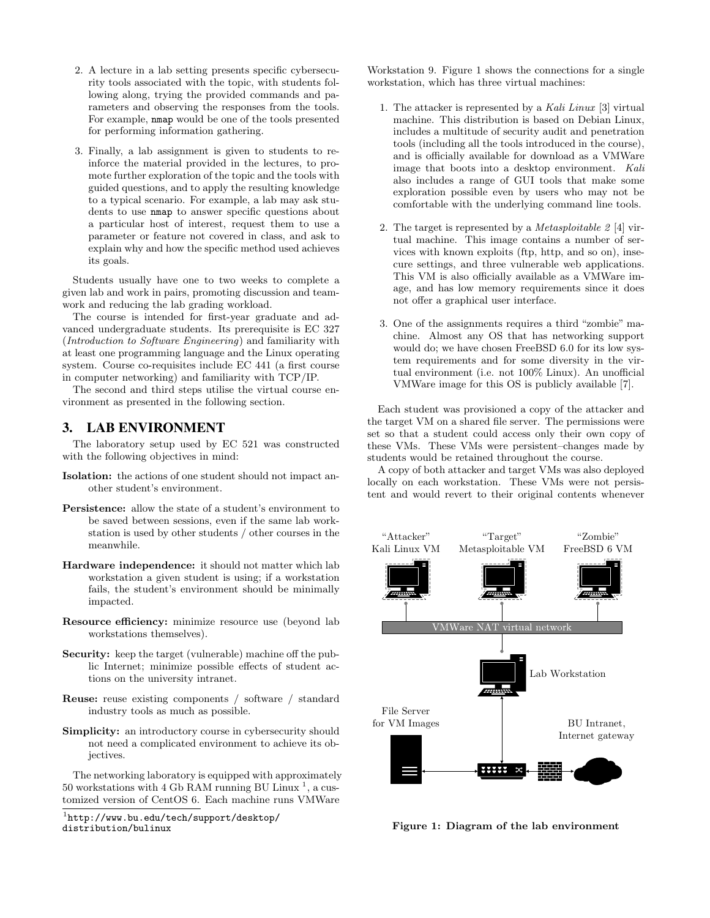- 2. A lecture in a lab setting presents specific cybersecurity tools associated with the topic, with students following along, trying the provided commands and parameters and observing the responses from the tools. For example, nmap would be one of the tools presented for performing information gathering.
- 3. Finally, a lab assignment is given to students to reinforce the material provided in the lectures, to promote further exploration of the topic and the tools with guided questions, and to apply the resulting knowledge to a typical scenario. For example, a lab may ask students to use nmap to answer specific questions about a particular host of interest, request them to use a parameter or feature not covered in class, and ask to explain why and how the specific method used achieves its goals.

Students usually have one to two weeks to complete a given lab and work in pairs, promoting discussion and teamwork and reducing the lab grading workload.

The course is intended for first-year graduate and advanced undergraduate students. Its prerequisite is EC 327 (Introduction to Software Engineering) and familiarity with at least one programming language and the Linux operating system. Course co-requisites include EC 441 (a first course in computer networking) and familiarity with TCP/IP.

The second and third steps utilise the virtual course environment as presented in the following section.

### 3. LAB ENVIRONMENT

The laboratory setup used by EC 521 was constructed with the following objectives in mind:

- Isolation: the actions of one student should not impact another student's environment.
- Persistence: allow the state of a student's environment to be saved between sessions, even if the same lab workstation is used by other students / other courses in the meanwhile.
- Hardware independence: it should not matter which lab workstation a given student is using; if a workstation fails, the student's environment should be minimally impacted.
- Resource efficiency: minimize resource use (beyond lab workstations themselves).
- Security: keep the target (vulnerable) machine off the public Internet; minimize possible effects of student actions on the university intranet.
- Reuse: reuse existing components / software / standard industry tools as much as possible.
- Simplicity: an introductory course in cybersecurity should not need a complicated environment to achieve its objectives.

The networking laboratory is equipped with approximately 50 workstations with 4 Gb RAM running BU Linux<sup>1</sup>, a customized version of CentOS 6. Each machine runs VMWare

Workstation 9. Figure 1 shows the connections for a single workstation, which has three virtual machines:

- 1. The attacker is represented by a Kali Linux [3] virtual machine. This distribution is based on Debian Linux, includes a multitude of security audit and penetration tools (including all the tools introduced in the course), and is officially available for download as a VMWare image that boots into a desktop environment. Kali also includes a range of GUI tools that make some exploration possible even by users who may not be comfortable with the underlying command line tools.
- 2. The target is represented by a Metasploitable 2 [4] virtual machine. This image contains a number of services with known exploits (ftp, http, and so on), insecure settings, and three vulnerable web applications. This VM is also officially available as a VMWare image, and has low memory requirements since it does not offer a graphical user interface.
- 3. One of the assignments requires a third "zombie" machine. Almost any OS that has networking support would do; we have chosen FreeBSD 6.0 for its low system requirements and for some diversity in the virtual environment (i.e. not 100% Linux). An unofficial VMWare image for this OS is publicly available [7].

Each student was provisioned a copy of the attacker and the target VM on a shared file server. The permissions were set so that a student could access only their own copy of these VMs. These VMs were persistent–changes made by students would be retained throughout the course.

A copy of both attacker and target VMs was also deployed locally on each workstation. These VMs were not persistent and would revert to their original contents whenever



Figure 1: Diagram of the lab environment

<sup>1</sup> http://www.bu.edu/tech/support/desktop/ distribution/bulinux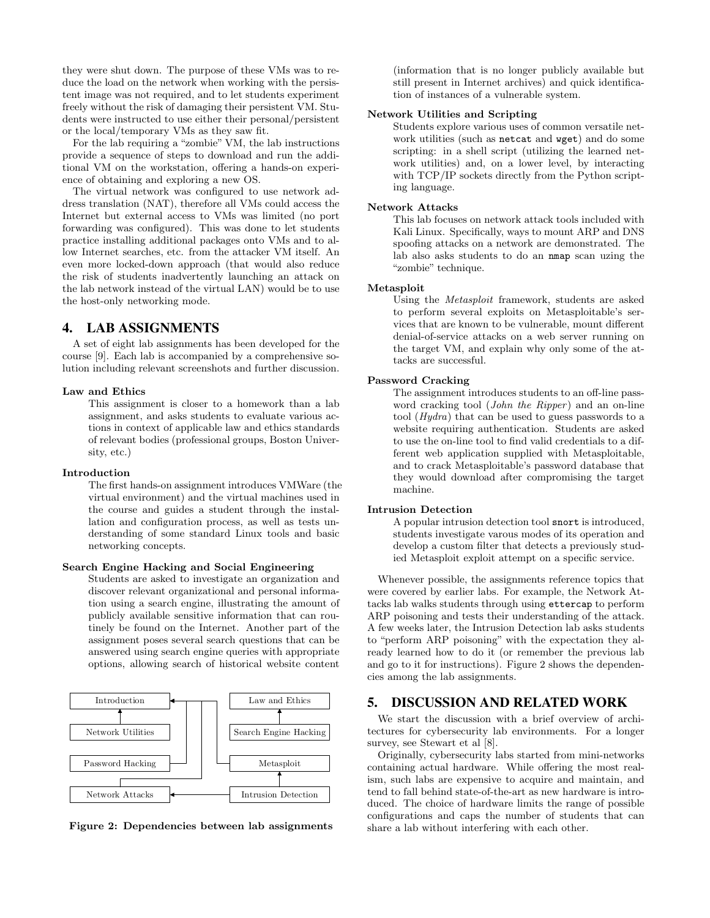they were shut down. The purpose of these VMs was to reduce the load on the network when working with the persistent image was not required, and to let students experiment freely without the risk of damaging their persistent VM. Students were instructed to use either their personal/persistent or the local/temporary VMs as they saw fit.

For the lab requiring a "zombie" VM, the lab instructions provide a sequence of steps to download and run the additional VM on the workstation, offering a hands-on experience of obtaining and exploring a new OS.

The virtual network was configured to use network address translation (NAT), therefore all VMs could access the Internet but external access to VMs was limited (no port forwarding was configured). This was done to let students practice installing additional packages onto VMs and to allow Internet searches, etc. from the attacker VM itself. An even more locked-down approach (that would also reduce the risk of students inadvertently launching an attack on the lab network instead of the virtual LAN) would be to use the host-only networking mode.

### 4. LAB ASSIGNMENTS

A set of eight lab assignments has been developed for the course [9]. Each lab is accompanied by a comprehensive solution including relevant screenshots and further discussion.

#### Law and Ethics

This assignment is closer to a homework than a lab assignment, and asks students to evaluate various actions in context of applicable law and ethics standards of relevant bodies (professional groups, Boston University, etc.)

#### Introduction

The first hands-on assignment introduces VMWare (the virtual environment) and the virtual machines used in the course and guides a student through the installation and configuration process, as well as tests understanding of some standard Linux tools and basic networking concepts.

#### Search Engine Hacking and Social Engineering

Students are asked to investigate an organization and discover relevant organizational and personal information using a search engine, illustrating the amount of publicly available sensitive information that can routinely be found on the Internet. Another part of the assignment poses several search questions that can be answered using search engine queries with appropriate options, allowing search of historical website content



Figure 2: Dependencies between lab assignments

(information that is no longer publicly available but still present in Internet archives) and quick identification of instances of a vulnerable system.

#### Network Utilities and Scripting

Students explore various uses of common versatile network utilities (such as netcat and wget) and do some scripting: in a shell script (utilizing the learned network utilities) and, on a lower level, by interacting with TCP/IP sockets directly from the Python scripting language.

#### Network Attacks

This lab focuses on network attack tools included with Kali Linux. Specifically, ways to mount ARP and DNS spoofing attacks on a network are demonstrated. The lab also asks students to do an nmap scan uzing the "zombie" technique.

#### Metasploit

Using the Metasploit framework, students are asked to perform several exploits on Metasploitable's services that are known to be vulnerable, mount different denial-of-service attacks on a web server running on the target VM, and explain why only some of the attacks are successful.

#### Password Cracking

The assignment introduces students to an off-line password cracking tool  $(John\ the\ Ripper)$  and an on-line tool (Hydra) that can be used to guess passwords to a website requiring authentication. Students are asked to use the on-line tool to find valid credentials to a different web application supplied with Metasploitable, and to crack Metasploitable's password database that they would download after compromising the target machine.

#### Intrusion Detection

A popular intrusion detection tool snort is introduced, students investigate varous modes of its operation and develop a custom filter that detects a previously studied Metasploit exploit attempt on a specific service.

Whenever possible, the assignments reference topics that were covered by earlier labs. For example, the Network Attacks lab walks students through using ettercap to perform ARP poisoning and tests their understanding of the attack. A few weeks later, the Intrusion Detection lab asks students to "perform ARP poisoning" with the expectation they already learned how to do it (or remember the previous lab and go to it for instructions). Figure 2 shows the dependencies among the lab assignments.

### 5. DISCUSSION AND RELATED WORK

We start the discussion with a brief overview of architectures for cybersecurity lab environments. For a longer survey, see Stewart et al [8].

Originally, cybersecurity labs started from mini-networks containing actual hardware. While offering the most realism, such labs are expensive to acquire and maintain, and tend to fall behind state-of-the-art as new hardware is introduced. The choice of hardware limits the range of possible configurations and caps the number of students that can share a lab without interfering with each other.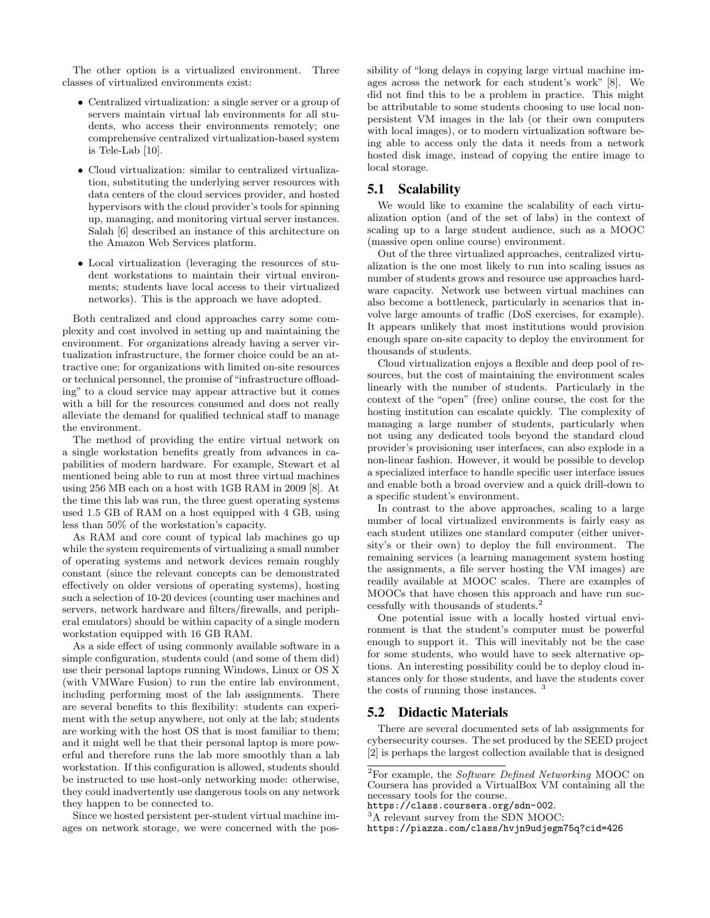The other option is a virtualized environment. Three classes of virtualized environments exist:

- Centralized virtualization: a single server or a group of servers maintain virtual lab environments for all students, who access their environments remotely; one comprehensive centralized virtualization-based system is Tele-Lab [10].
- Cloud virtualization: similar to centralized virtualization, substituting the underlying server resources with data centers of the cloud services provider, and hosted hypervisors with the cloud provider's tools for spinning up, managing, and monitoring virtual server instances. Salah [6] described an instance of this architecture on the Amazon Web Services platform.
- Local virtualization (leveraging the resources of student workstations to maintain their virtual environments; students have local access to their virtualized networks). This is the approach we have adopted.

Both centralized and cloud approaches carry some complexity and cost involved in setting up and maintaining the environment. For organizations already having a server virtualization infrastructure, the former choice could be an attractive one; for organizations with limited on-site resources or technical personnel, the promise of "infrastructure offloading" to a cloud service may appear attractive but it comes with a bill for the resources consumed and does not really alleviate the demand for qualified technical staff to manage the environment.

The method of providing the entire virtual network on a single workstation benefits greatly from advances in capabilities of modern hardware. For example, Stewart et al mentioned being able to run at most three virtual machines using 256 MB each on a host with 1GB RAM in 2009 [8]. At the time this lab was run, the three guest operating systems used 1.5 GB of RAM on a host equipped with 4 GB, using less than 50% of the workstation's capacity.

As RAM and core count of typical lab machines go up while the system requirements of virtualizing a small number of operating systems and network devices remain roughly constant (since the relevant concepts can be demonstrated effectively on older versions of operating systems), hosting such a selection of 10-20 devices (counting user machines and servers, network hardware and filters/firewalls, and peripheral emulators) should be within capacity of a single modern workstation equipped with 16 GB RAM.

As a side effect of using commonly available software in a simple configuration, students could (and some of them did) use their personal laptops running Windows, Linux or OS X (with VMWare Fusion) to run the entire lab environment, including performing most of the lab assignments. There are several benefits to this flexibility: students can experiment with the setup anywhere, not only at the lab; students are working with the host OS that is most familiar to them; and it might well be that their personal laptop is more powerful and therefore runs the lab more smoothly than a lab workstation. If this configuration is allowed, students should be instructed to use host-only networking mode: otherwise, they could inadvertently use dangerous tools on any network they happen to be connected to.

Since we hosted persistent per-student virtual machine images on network storage, we were concerned with the possibility of "long delays in copying large virtual machine images across the network for each student's work" [8]. We did not find this to be a problem in practice. This might be attributable to some students choosing to use local nonpersistent VM images in the lab (or their own computers with local images), or to modern virtualization software being able to access only the data it needs from a network hosted disk image, instead of copying the entire image to local storage.

### 5.1 Scalability

We would like to examine the scalability of each virtualization option (and of the set of labs) in the context of scaling up to a large student audience, such as a MOOC (massive open online course) environment.

Out of the three virtualized approaches, centralized virtualization is the one most likely to run into scaling issues as number of students grows and resource use approaches hardware capacity. Network use between virtual machines can also become a bottleneck, particularly in scenarios that involve large amounts of traffic (DoS exercises, for example). It appears unlikely that most institutions would provision enough spare on-site capacity to deploy the environment for thousands of students.

Cloud virtualization enjoys a flexible and deep pool of resources, but the cost of maintaining the environment scales linearly with the number of students. Particularly in the context of the "open" (free) online course, the cost for the hosting institution can escalate quickly. The complexity of managing a large number of students, particularly when not using any dedicated tools beyond the standard cloud provider's provisioning user interfaces, can also explode in a non-linear fashion. However, it would be possible to develop a specialized interface to handle specific user interface issues and enable both a broad overview and a quick drill-down to a specific student's environment.

In contrast to the above approaches, scaling to a large number of local virtualized environments is fairly easy as each student utilizes one standard computer (either university's or their own) to deploy the full environment. The remaining services (a learning management system hosting the assignments, a file server hosting the VM images) are readily available at MOOC scales. There are examples of MOOCs that have chosen this approach and have run successfully with thousands of students.<sup>2</sup>

One potential issue with a locally hosted virtual environment is that the student's computer must be powerful enough to support it. This will inevitably not be the case for some students, who would have to seek alternative options. An interesting possibility could be to deploy cloud instances only for those students, and have the students cover the costs of running those instances. <sup>3</sup>

### 5.2 Didactic Materials

There are several documented sets of lab assignments for cybersecurity courses. The set produced by the SEED project [2] is perhaps the largest collection available that is designed

 ${}^{2}$ For example, the Software Defined Networking MOOC on Coursera has provided a VirtualBox VM containing all the necessary tools for the course.

https://class.coursera.org/sdn-002.

<sup>3</sup>A relevant survey from the SDN MOOC:

https://piazza.com/class/hvjn9udjegm75q?cid=426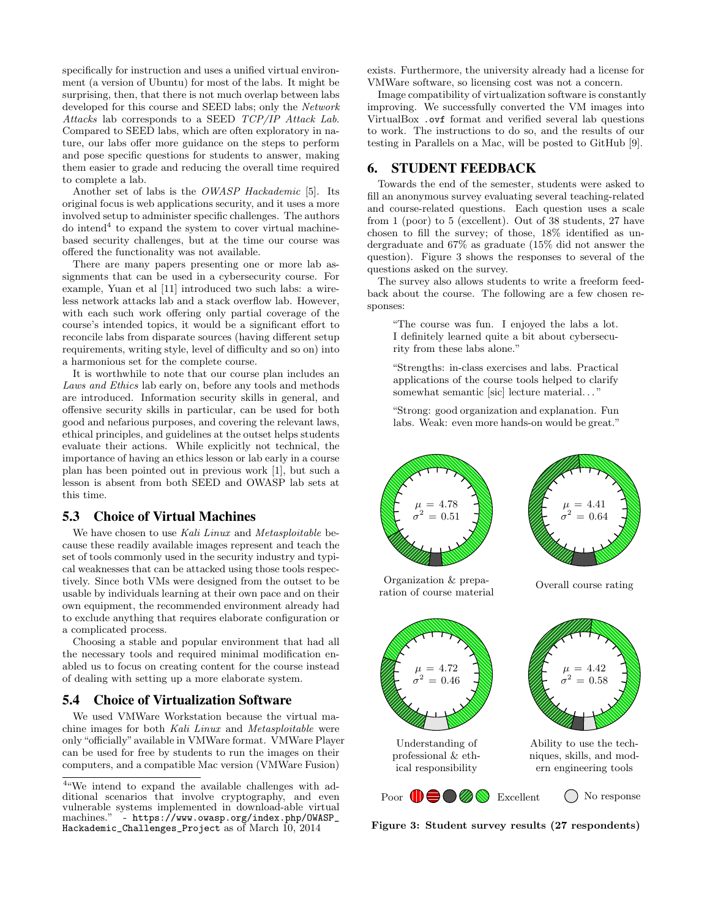specifically for instruction and uses a unified virtual environment (a version of Ubuntu) for most of the labs. It might be surprising, then, that there is not much overlap between labs developed for this course and SEED labs; only the Network Attacks lab corresponds to a SEED TCP/IP Attack Lab. Compared to SEED labs, which are often exploratory in nature, our labs offer more guidance on the steps to perform and pose specific questions for students to answer, making them easier to grade and reducing the overall time required to complete a lab.

Another set of labs is the OWASP Hackademic [5]. Its original focus is web applications security, and it uses a more involved setup to administer specific challenges. The authors  $\alpha$  do intend<sup>4</sup> to expand the system to cover virtual machinebased security challenges, but at the time our course was offered the functionality was not available.

There are many papers presenting one or more lab assignments that can be used in a cybersecurity course. For example, Yuan et al [11] introduced two such labs: a wireless network attacks lab and a stack overflow lab. However, with each such work offering only partial coverage of the course's intended topics, it would be a significant effort to reconcile labs from disparate sources (having different setup requirements, writing style, level of difficulty and so on) into a harmonious set for the complete course.

It is worthwhile to note that our course plan includes an Laws and Ethics lab early on, before any tools and methods are introduced. Information security skills in general, and offensive security skills in particular, can be used for both good and nefarious purposes, and covering the relevant laws, ethical principles, and guidelines at the outset helps students evaluate their actions. While explicitly not technical, the importance of having an ethics lesson or lab early in a course plan has been pointed out in previous work [1], but such a lesson is absent from both SEED and OWASP lab sets at this time.

### 5.3 Choice of Virtual Machines

We have chosen to use Kali Linux and Metasploitable because these readily available images represent and teach the set of tools commonly used in the security industry and typical weaknesses that can be attacked using those tools respectively. Since both VMs were designed from the outset to be usable by individuals learning at their own pace and on their own equipment, the recommended environment already had to exclude anything that requires elaborate configuration or a complicated process.

Choosing a stable and popular environment that had all the necessary tools and required minimal modification enabled us to focus on creating content for the course instead of dealing with setting up a more elaborate system.

### 5.4 Choice of Virtualization Software

We used VMWare Workstation because the virtual machine images for both Kali Linux and Metasploitable were only"officially"available in VMWare format. VMWare Player can be used for free by students to run the images on their computers, and a compatible Mac version (VMWare Fusion)

exists. Furthermore, the university already had a license for VMWare software, so licensing cost was not a concern.

Image compatibility of virtualization software is constantly improving. We successfully converted the VM images into VirtualBox .ovf format and verified several lab questions to work. The instructions to do so, and the results of our testing in Parallels on a Mac, will be posted to GitHub [9].

### 6. STUDENT FEEDBACK

Towards the end of the semester, students were asked to fill an anonymous survey evaluating several teaching-related and course-related questions. Each question uses a scale from 1 (poor) to 5 (excellent). Out of 38 students, 27 have chosen to fill the survey; of those, 18% identified as undergraduate and 67% as graduate (15% did not answer the question). Figure 3 shows the responses to several of the questions asked on the survey.

The survey also allows students to write a freeform feedback about the course. The following are a few chosen responses:

"The course was fun. I enjoyed the labs a lot. I definitely learned quite a bit about cybersecurity from these labs alone."

"Strengths: in-class exercises and labs. Practical applications of the course tools helped to clarify somewhat semantic [sic] lecture material...'

"Strong: good organization and explanation. Fun labs. Weak: even more hands-on would be great."



Figure 3: Student survey results (27 respondents)

<sup>&</sup>lt;sup>4</sup> We intend to expand the available challenges with additional scenarios that involve cryptography, and even vulnerable systems implemented in download-able virtual machines." - https://www.owasp.org/index.php/0WASP - https://www.owasp.org/index.php/OWASP\_ Hackademic\_Challenges\_Project as of March 10, 2014